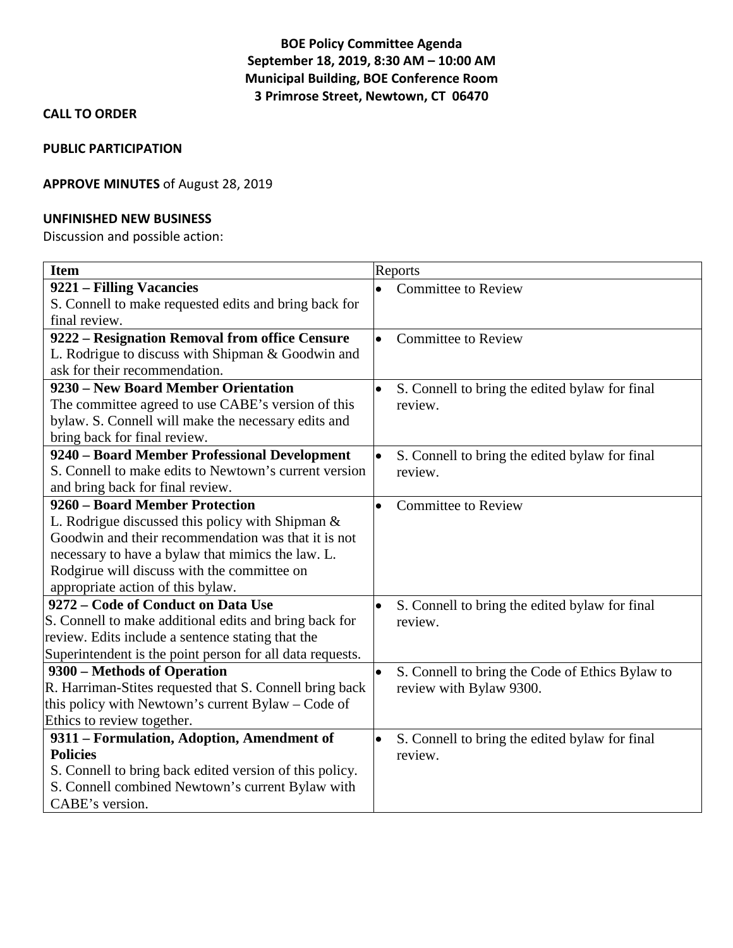# **BOE Policy Committee Agenda September 18, 2019, 8:30 AM – 10:00 AM Municipal Building, BOE Conference Room 3 Primrose Street, Newtown, CT 06470**

## **CALL TO ORDER**

#### **PUBLIC PARTICIPATION**

### **APPROVE MINUTES** of August 28, 2019

#### **UNFINISHED NEW BUSINESS**

Discussion and possible action:

| <b>Item</b>                                               | Reports                                                      |
|-----------------------------------------------------------|--------------------------------------------------------------|
| 9221 – Filling Vacancies                                  | <b>Committee to Review</b><br>$\bullet$                      |
| S. Connell to make requested edits and bring back for     |                                                              |
| final review.                                             |                                                              |
| 9222 - Resignation Removal from office Censure            | <b>Committee to Review</b><br>$\bullet$                      |
| L. Rodrigue to discuss with Shipman & Goodwin and         |                                                              |
| ask for their recommendation.                             |                                                              |
| 9230 - New Board Member Orientation                       | S. Connell to bring the edited bylaw for final<br>$\bullet$  |
| The committee agreed to use CABE's version of this        | review.                                                      |
| bylaw. S. Connell will make the necessary edits and       |                                                              |
| bring back for final review.                              |                                                              |
| 9240 - Board Member Professional Development              | $\bullet$<br>S. Connell to bring the edited bylaw for final  |
| S. Connell to make edits to Newtown's current version     | review.                                                      |
| and bring back for final review.                          |                                                              |
| 9260 - Board Member Protection                            | <b>Committee to Review</b><br>$\bullet$                      |
| L. Rodrigue discussed this policy with Shipman &          |                                                              |
| Goodwin and their recommendation was that it is not       |                                                              |
| necessary to have a bylaw that mimics the law. L.         |                                                              |
| Rodgirue will discuss with the committee on               |                                                              |
| appropriate action of this bylaw.                         |                                                              |
| 9272 – Code of Conduct on Data Use                        | S. Connell to bring the edited bylaw for final<br>$\bullet$  |
| S. Connell to make additional edits and bring back for    | review.                                                      |
| review. Edits include a sentence stating that the         |                                                              |
| Superintendent is the point person for all data requests. |                                                              |
| 9300 - Methods of Operation                               | S. Connell to bring the Code of Ethics Bylaw to<br>$\bullet$ |
| R. Harriman-Stites requested that S. Connell bring back   | review with Bylaw 9300.                                      |
| this policy with Newtown's current Bylaw – Code of        |                                                              |
| Ethics to review together.                                |                                                              |
| 9311 - Formulation, Adoption, Amendment of                | S. Connell to bring the edited bylaw for final<br>$\bullet$  |
| <b>Policies</b>                                           | review.                                                      |
| S. Connell to bring back edited version of this policy.   |                                                              |
| S. Connell combined Newtown's current Bylaw with          |                                                              |
| CABE's version.                                           |                                                              |